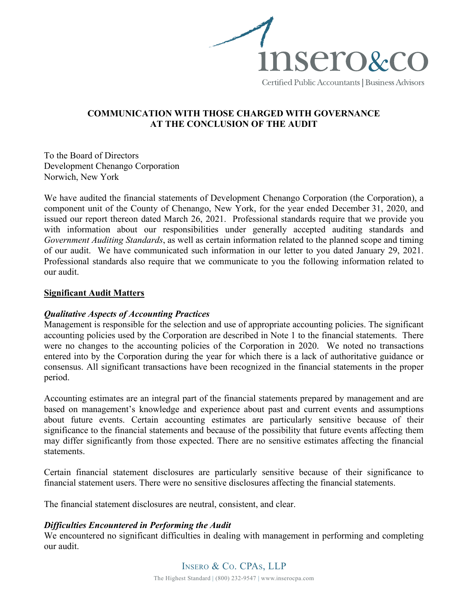

# **COMMUNICATION WITH THOSE CHARGED WITH GOVERNANCE AT THE CONCLUSION OF THE AUDIT**

To the Board of Directors Development Chenango Corporation Norwich, New York

We have audited the financial statements of Development Chenango Corporation (the Corporation), a component unit of the County of Chenango, New York, for the year ended December 31, 2020, and issued our report thereon dated March 26, 2021. Professional standards require that we provide you with information about our responsibilities under generally accepted auditing standards and *Government Auditing Standards*, as well as certain information related to the planned scope and timing of our audit. We have communicated such information in our letter to you dated January 29, 2021. Professional standards also require that we communicate to you the following information related to our audit.

### **Significant Audit Matters**

# *Qualitative Aspects of Accounting Practices*

Management is responsible for the selection and use of appropriate accounting policies. The significant accounting policies used by the Corporation are described in Note 1 to the financial statements. There were no changes to the accounting policies of the Corporation in 2020. We noted no transactions entered into by the Corporation during the year for which there is a lack of authoritative guidance or consensus. All significant transactions have been recognized in the financial statements in the proper period.

Accounting estimates are an integral part of the financial statements prepared by management and are based on management's knowledge and experience about past and current events and assumptions about future events. Certain accounting estimates are particularly sensitive because of their significance to the financial statements and because of the possibility that future events affecting them may differ significantly from those expected. There are no sensitive estimates affecting the financial statements.

Certain financial statement disclosures are particularly sensitive because of their significance to financial statement users. There were no sensitive disclosures affecting the financial statements.

The financial statement disclosures are neutral, consistent, and clear.

# *Difficulties Encountered in Performing the Audit*

We encountered no significant difficulties in dealing with management in performing and completing our audit.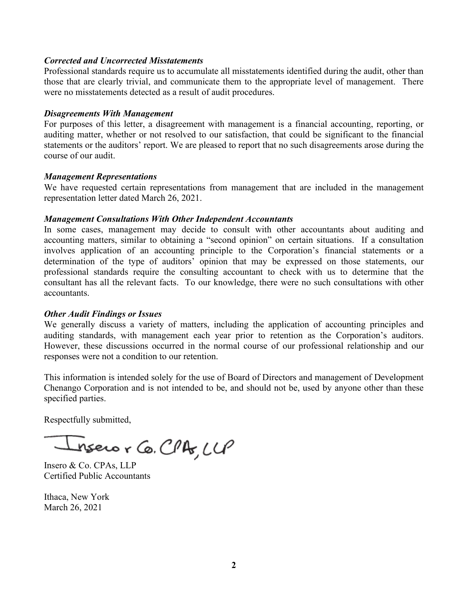### *Corrected and Uncorrected Misstatements*

Professional standards require us to accumulate all misstatements identified during the audit, other than those that are clearly trivial, and communicate them to the appropriate level of management. There were no misstatements detected as a result of audit procedures.

#### *Disagreements With Management*

For purposes of this letter, a disagreement with management is a financial accounting, reporting, or auditing matter, whether or not resolved to our satisfaction, that could be significant to the financial statements or the auditors' report. We are pleased to report that no such disagreements arose during the course of our audit.

#### *Management Representations*

We have requested certain representations from management that are included in the management representation letter dated March 26, 2021.

#### *Management Consultations With Other Independent Accountants*

In some cases, management may decide to consult with other accountants about auditing and accounting matters, similar to obtaining a "second opinion" on certain situations. If a consultation involves application of an accounting principle to the Corporation's financial statements or a determination of the type of auditors' opinion that may be expressed on those statements, our professional standards require the consulting accountant to check with us to determine that the consultant has all the relevant facts. To our knowledge, there were no such consultations with other accountants.

### *Other Audit Findings or Issues*

We generally discuss a variety of matters, including the application of accounting principles and auditing standards, with management each year prior to retention as the Corporation's auditors. However, these discussions occurred in the normal course of our professional relationship and our responses were not a condition to our retention.

This information is intended solely for the use of Board of Directors and management of Development Chenango Corporation and is not intended to be, and should not be, used by anyone other than these specified parties.

Respectfully submitted,

Insero r Co. CPA, LLP

Insero & Co. CPAs, LLP Certified Public Accountants

Ithaca, New York March 26, 2021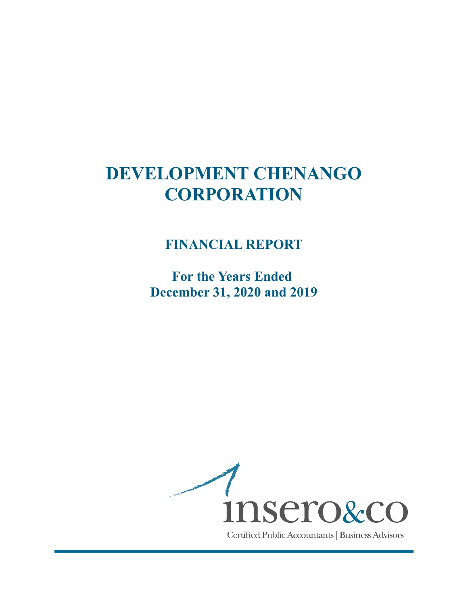# **FINANCIAL REPORT**

**For the Years Ended December 31, 2020 and 2019**

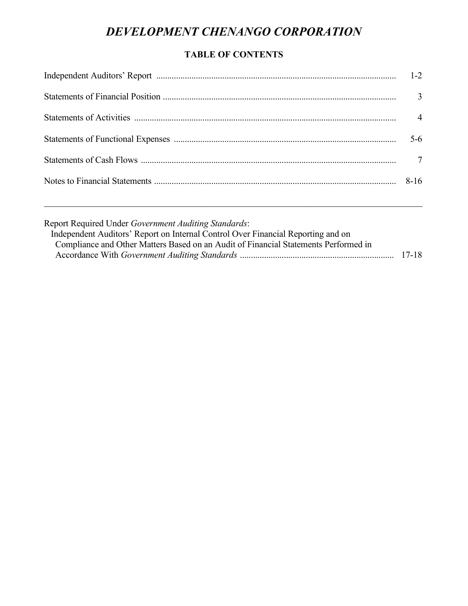# **TABLE OF CONTENTS**

|                                                                                                                                                                                                                                 | $1 - 2$        |
|---------------------------------------------------------------------------------------------------------------------------------------------------------------------------------------------------------------------------------|----------------|
|                                                                                                                                                                                                                                 | $\mathfrak{Z}$ |
|                                                                                                                                                                                                                                 | $\overline{4}$ |
|                                                                                                                                                                                                                                 | $5-6$          |
|                                                                                                                                                                                                                                 |                |
|                                                                                                                                                                                                                                 | $8-16$         |
| Report Required Under Government Auditing Standards:<br>Independent Auditors' Report on Internal Control Over Financial Reporting and on<br>Compliance and Other Matters Based on an Audit of Financial Statements Performed in |                |

Accordance With *Government Auditing Standards* ...................................................................... 17-18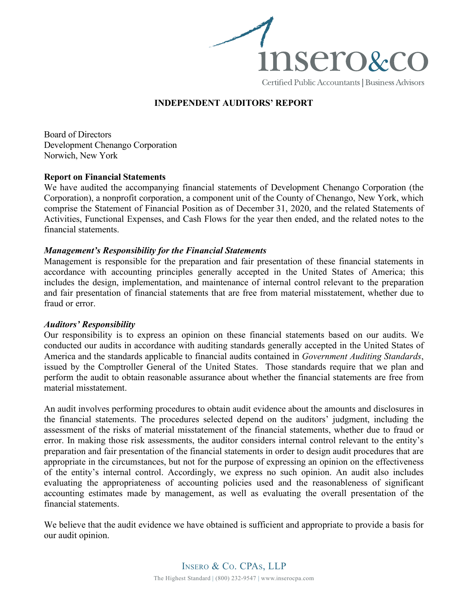

# **INDEPENDENT AUDITORS' REPORT**

Board of Directors Development Chenango Corporation Norwich, New York

#### **Report on Financial Statements**

We have audited the accompanying financial statements of Development Chenango Corporation (the Corporation), a nonprofit corporation, a component unit of the County of Chenango, New York, which comprise the Statement of Financial Position as of December 31, 2020, and the related Statements of Activities, Functional Expenses, and Cash Flows for the year then ended, and the related notes to the financial statements.

#### *Management's Responsibility for the Financial Statements*

Management is responsible for the preparation and fair presentation of these financial statements in accordance with accounting principles generally accepted in the United States of America; this includes the design, implementation, and maintenance of internal control relevant to the preparation and fair presentation of financial statements that are free from material misstatement, whether due to fraud or error.

#### *Auditors' Responsibility*

Our responsibility is to express an opinion on these financial statements based on our audits. We conducted our audits in accordance with auditing standards generally accepted in the United States of America and the standards applicable to financial audits contained in *Government Auditing Standards*, issued by the Comptroller General of the United States. Those standards require that we plan and perform the audit to obtain reasonable assurance about whether the financial statements are free from material misstatement.

An audit involves performing procedures to obtain audit evidence about the amounts and disclosures in the financial statements. The procedures selected depend on the auditors' judgment, including the assessment of the risks of material misstatement of the financial statements, whether due to fraud or error. In making those risk assessments, the auditor considers internal control relevant to the entity's preparation and fair presentation of the financial statements in order to design audit procedures that are appropriate in the circumstances, but not for the purpose of expressing an opinion on the effectiveness of the entity's internal control. Accordingly, we express no such opinion. An audit also includes evaluating the appropriateness of accounting policies used and the reasonableness of significant accounting estimates made by management, as well as evaluating the overall presentation of the financial statements.

We believe that the audit evidence we have obtained is sufficient and appropriate to provide a basis for our audit opinion.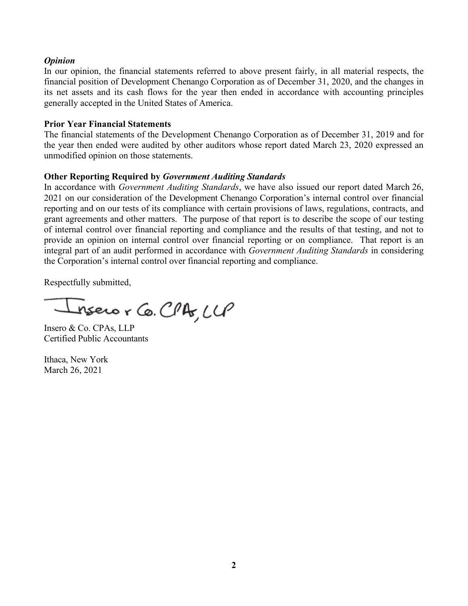### *Opinion*

In our opinion, the financial statements referred to above present fairly, in all material respects, the financial position of Development Chenango Corporation as of December 31, 2020, and the changes in its net assets and its cash flows for the year then ended in accordance with accounting principles generally accepted in the United States of America.

### **Prior Year Financial Statements**

The financial statements of the Development Chenango Corporation as of December 31, 2019 and for the year then ended were audited by other auditors whose report dated March 23, 2020 expressed an unmodified opinion on those statements.

# **Other Reporting Required by** *Government Auditing Standards*

In accordance with *Government Auditing Standards*, we have also issued our report dated March 26, 2021 on our consideration of the Development Chenango Corporation's internal control over financial reporting and on our tests of its compliance with certain provisions of laws, regulations, contracts, and grant agreements and other matters. The purpose of that report is to describe the scope of our testing of internal control over financial reporting and compliance and the results of that testing, and not to provide an opinion on internal control over financial reporting or on compliance. That report is an integral part of an audit performed in accordance with *Government Auditing Standards* in considering the Corporation's internal control over financial reporting and compliance.

Respectfully submitted,

nsero r Co. CPA, LLP

Insero & Co. CPAs, LLP Certified Public Accountants

Ithaca, New York March 26, 2021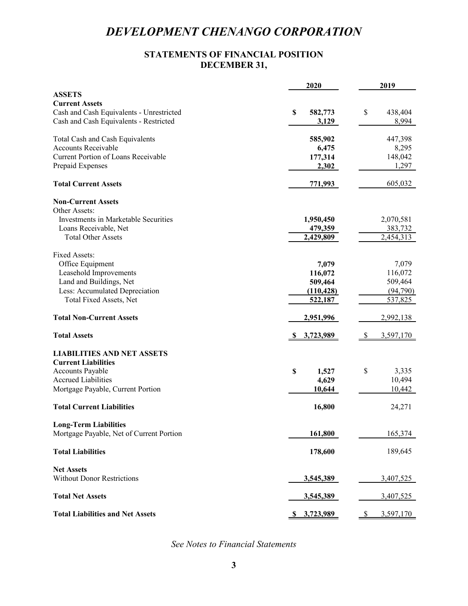# **STATEMENTS OF FINANCIAL POSITION DECEMBER 31,**

| <b>ASSETS</b><br><b>Current Assets</b><br>\$<br>Cash and Cash Equivalents - Unrestricted<br>438,404<br>\$<br>582,773<br>Cash and Cash Equivalents - Restricted<br>8,994<br>3,129<br>Total Cash and Cash Equivalents<br>447,398<br>585,902<br><b>Accounts Receivable</b><br>8,295<br>6,475<br>Current Portion of Loans Receivable<br>148,042<br>177,314<br>Prepaid Expenses<br>1,297<br>2,302<br><b>Total Current Assets</b><br>605,032<br>771,993<br><b>Non-Current Assets</b><br>Other Assets:<br>Investments in Marketable Securities<br>2,070,581<br>1,950,450<br>Loans Receivable, Net<br>479,359<br>383,732<br>2,429,809<br>2,454,313<br><b>Total Other Assets</b><br>Fixed Assets:<br>Office Equipment<br>7,079<br>7,079<br>Leasehold Improvements<br>116,072<br>116,072<br>Land and Buildings, Net<br>509,464<br>509,464<br>Less: Accumulated Depreciation<br>(94,790)<br>(110, 428)<br>Total Fixed Assets, Net<br>537,825<br>522,187<br><b>Total Non-Current Assets</b><br>2,951,996<br>2,992,138<br><b>Total Assets</b><br>3,597,170<br><u>\$3,723,989</u><br>S.<br><b>LIABILITIES AND NET ASSETS</b><br><b>Current Liabilities</b><br>\$<br>Accounts Payable<br>3,335<br>\$<br>1,527<br>10,494<br><b>Accrued Liabilities</b><br>4,629<br>10,442<br>Mortgage Payable, Current Portion<br>10,644<br><b>Total Current Liabilities</b><br>16,800<br>24,271<br><b>Long-Term Liabilities</b><br>Mortgage Payable, Net of Current Portion<br>165,374<br>161,800<br><b>Total Liabilities</b><br>178,600<br>189,645<br><b>Net Assets</b><br><b>Without Donor Restrictions</b><br>3,545,389<br>3,407,525<br><b>Total Net Assets</b><br>3,545,389<br>3,407,525 |                                         | 2020         | 2019           |
|---------------------------------------------------------------------------------------------------------------------------------------------------------------------------------------------------------------------------------------------------------------------------------------------------------------------------------------------------------------------------------------------------------------------------------------------------------------------------------------------------------------------------------------------------------------------------------------------------------------------------------------------------------------------------------------------------------------------------------------------------------------------------------------------------------------------------------------------------------------------------------------------------------------------------------------------------------------------------------------------------------------------------------------------------------------------------------------------------------------------------------------------------------------------------------------------------------------------------------------------------------------------------------------------------------------------------------------------------------------------------------------------------------------------------------------------------------------------------------------------------------------------------------------------------------------------------------------------------------------------------------------------------------------|-----------------------------------------|--------------|----------------|
|                                                                                                                                                                                                                                                                                                                                                                                                                                                                                                                                                                                                                                                                                                                                                                                                                                                                                                                                                                                                                                                                                                                                                                                                                                                                                                                                                                                                                                                                                                                                                                                                                                                               |                                         |              |                |
|                                                                                                                                                                                                                                                                                                                                                                                                                                                                                                                                                                                                                                                                                                                                                                                                                                                                                                                                                                                                                                                                                                                                                                                                                                                                                                                                                                                                                                                                                                                                                                                                                                                               |                                         |              |                |
|                                                                                                                                                                                                                                                                                                                                                                                                                                                                                                                                                                                                                                                                                                                                                                                                                                                                                                                                                                                                                                                                                                                                                                                                                                                                                                                                                                                                                                                                                                                                                                                                                                                               |                                         |              |                |
|                                                                                                                                                                                                                                                                                                                                                                                                                                                                                                                                                                                                                                                                                                                                                                                                                                                                                                                                                                                                                                                                                                                                                                                                                                                                                                                                                                                                                                                                                                                                                                                                                                                               |                                         |              |                |
|                                                                                                                                                                                                                                                                                                                                                                                                                                                                                                                                                                                                                                                                                                                                                                                                                                                                                                                                                                                                                                                                                                                                                                                                                                                                                                                                                                                                                                                                                                                                                                                                                                                               |                                         |              |                |
|                                                                                                                                                                                                                                                                                                                                                                                                                                                                                                                                                                                                                                                                                                                                                                                                                                                                                                                                                                                                                                                                                                                                                                                                                                                                                                                                                                                                                                                                                                                                                                                                                                                               |                                         |              |                |
|                                                                                                                                                                                                                                                                                                                                                                                                                                                                                                                                                                                                                                                                                                                                                                                                                                                                                                                                                                                                                                                                                                                                                                                                                                                                                                                                                                                                                                                                                                                                                                                                                                                               |                                         |              |                |
|                                                                                                                                                                                                                                                                                                                                                                                                                                                                                                                                                                                                                                                                                                                                                                                                                                                                                                                                                                                                                                                                                                                                                                                                                                                                                                                                                                                                                                                                                                                                                                                                                                                               |                                         |              |                |
|                                                                                                                                                                                                                                                                                                                                                                                                                                                                                                                                                                                                                                                                                                                                                                                                                                                                                                                                                                                                                                                                                                                                                                                                                                                                                                                                                                                                                                                                                                                                                                                                                                                               |                                         |              |                |
|                                                                                                                                                                                                                                                                                                                                                                                                                                                                                                                                                                                                                                                                                                                                                                                                                                                                                                                                                                                                                                                                                                                                                                                                                                                                                                                                                                                                                                                                                                                                                                                                                                                               |                                         |              |                |
|                                                                                                                                                                                                                                                                                                                                                                                                                                                                                                                                                                                                                                                                                                                                                                                                                                                                                                                                                                                                                                                                                                                                                                                                                                                                                                                                                                                                                                                                                                                                                                                                                                                               |                                         |              |                |
|                                                                                                                                                                                                                                                                                                                                                                                                                                                                                                                                                                                                                                                                                                                                                                                                                                                                                                                                                                                                                                                                                                                                                                                                                                                                                                                                                                                                                                                                                                                                                                                                                                                               |                                         |              |                |
|                                                                                                                                                                                                                                                                                                                                                                                                                                                                                                                                                                                                                                                                                                                                                                                                                                                                                                                                                                                                                                                                                                                                                                                                                                                                                                                                                                                                                                                                                                                                                                                                                                                               |                                         |              |                |
|                                                                                                                                                                                                                                                                                                                                                                                                                                                                                                                                                                                                                                                                                                                                                                                                                                                                                                                                                                                                                                                                                                                                                                                                                                                                                                                                                                                                                                                                                                                                                                                                                                                               |                                         |              |                |
|                                                                                                                                                                                                                                                                                                                                                                                                                                                                                                                                                                                                                                                                                                                                                                                                                                                                                                                                                                                                                                                                                                                                                                                                                                                                                                                                                                                                                                                                                                                                                                                                                                                               |                                         |              |                |
|                                                                                                                                                                                                                                                                                                                                                                                                                                                                                                                                                                                                                                                                                                                                                                                                                                                                                                                                                                                                                                                                                                                                                                                                                                                                                                                                                                                                                                                                                                                                                                                                                                                               |                                         |              |                |
|                                                                                                                                                                                                                                                                                                                                                                                                                                                                                                                                                                                                                                                                                                                                                                                                                                                                                                                                                                                                                                                                                                                                                                                                                                                                                                                                                                                                                                                                                                                                                                                                                                                               |                                         |              |                |
|                                                                                                                                                                                                                                                                                                                                                                                                                                                                                                                                                                                                                                                                                                                                                                                                                                                                                                                                                                                                                                                                                                                                                                                                                                                                                                                                                                                                                                                                                                                                                                                                                                                               |                                         |              |                |
|                                                                                                                                                                                                                                                                                                                                                                                                                                                                                                                                                                                                                                                                                                                                                                                                                                                                                                                                                                                                                                                                                                                                                                                                                                                                                                                                                                                                                                                                                                                                                                                                                                                               |                                         |              |                |
|                                                                                                                                                                                                                                                                                                                                                                                                                                                                                                                                                                                                                                                                                                                                                                                                                                                                                                                                                                                                                                                                                                                                                                                                                                                                                                                                                                                                                                                                                                                                                                                                                                                               |                                         |              |                |
|                                                                                                                                                                                                                                                                                                                                                                                                                                                                                                                                                                                                                                                                                                                                                                                                                                                                                                                                                                                                                                                                                                                                                                                                                                                                                                                                                                                                                                                                                                                                                                                                                                                               |                                         |              |                |
|                                                                                                                                                                                                                                                                                                                                                                                                                                                                                                                                                                                                                                                                                                                                                                                                                                                                                                                                                                                                                                                                                                                                                                                                                                                                                                                                                                                                                                                                                                                                                                                                                                                               |                                         |              |                |
|                                                                                                                                                                                                                                                                                                                                                                                                                                                                                                                                                                                                                                                                                                                                                                                                                                                                                                                                                                                                                                                                                                                                                                                                                                                                                                                                                                                                                                                                                                                                                                                                                                                               |                                         |              |                |
|                                                                                                                                                                                                                                                                                                                                                                                                                                                                                                                                                                                                                                                                                                                                                                                                                                                                                                                                                                                                                                                                                                                                                                                                                                                                                                                                                                                                                                                                                                                                                                                                                                                               |                                         |              |                |
|                                                                                                                                                                                                                                                                                                                                                                                                                                                                                                                                                                                                                                                                                                                                                                                                                                                                                                                                                                                                                                                                                                                                                                                                                                                                                                                                                                                                                                                                                                                                                                                                                                                               |                                         |              |                |
|                                                                                                                                                                                                                                                                                                                                                                                                                                                                                                                                                                                                                                                                                                                                                                                                                                                                                                                                                                                                                                                                                                                                                                                                                                                                                                                                                                                                                                                                                                                                                                                                                                                               |                                         |              |                |
|                                                                                                                                                                                                                                                                                                                                                                                                                                                                                                                                                                                                                                                                                                                                                                                                                                                                                                                                                                                                                                                                                                                                                                                                                                                                                                                                                                                                                                                                                                                                                                                                                                                               |                                         |              |                |
|                                                                                                                                                                                                                                                                                                                                                                                                                                                                                                                                                                                                                                                                                                                                                                                                                                                                                                                                                                                                                                                                                                                                                                                                                                                                                                                                                                                                                                                                                                                                                                                                                                                               |                                         |              |                |
|                                                                                                                                                                                                                                                                                                                                                                                                                                                                                                                                                                                                                                                                                                                                                                                                                                                                                                                                                                                                                                                                                                                                                                                                                                                                                                                                                                                                                                                                                                                                                                                                                                                               |                                         |              |                |
|                                                                                                                                                                                                                                                                                                                                                                                                                                                                                                                                                                                                                                                                                                                                                                                                                                                                                                                                                                                                                                                                                                                                                                                                                                                                                                                                                                                                                                                                                                                                                                                                                                                               |                                         |              |                |
|                                                                                                                                                                                                                                                                                                                                                                                                                                                                                                                                                                                                                                                                                                                                                                                                                                                                                                                                                                                                                                                                                                                                                                                                                                                                                                                                                                                                                                                                                                                                                                                                                                                               |                                         |              |                |
|                                                                                                                                                                                                                                                                                                                                                                                                                                                                                                                                                                                                                                                                                                                                                                                                                                                                                                                                                                                                                                                                                                                                                                                                                                                                                                                                                                                                                                                                                                                                                                                                                                                               |                                         |              |                |
|                                                                                                                                                                                                                                                                                                                                                                                                                                                                                                                                                                                                                                                                                                                                                                                                                                                                                                                                                                                                                                                                                                                                                                                                                                                                                                                                                                                                                                                                                                                                                                                                                                                               |                                         |              |                |
|                                                                                                                                                                                                                                                                                                                                                                                                                                                                                                                                                                                                                                                                                                                                                                                                                                                                                                                                                                                                                                                                                                                                                                                                                                                                                                                                                                                                                                                                                                                                                                                                                                                               |                                         |              |                |
|                                                                                                                                                                                                                                                                                                                                                                                                                                                                                                                                                                                                                                                                                                                                                                                                                                                                                                                                                                                                                                                                                                                                                                                                                                                                                                                                                                                                                                                                                                                                                                                                                                                               |                                         |              |                |
|                                                                                                                                                                                                                                                                                                                                                                                                                                                                                                                                                                                                                                                                                                                                                                                                                                                                                                                                                                                                                                                                                                                                                                                                                                                                                                                                                                                                                                                                                                                                                                                                                                                               |                                         |              |                |
|                                                                                                                                                                                                                                                                                                                                                                                                                                                                                                                                                                                                                                                                                                                                                                                                                                                                                                                                                                                                                                                                                                                                                                                                                                                                                                                                                                                                                                                                                                                                                                                                                                                               |                                         |              |                |
|                                                                                                                                                                                                                                                                                                                                                                                                                                                                                                                                                                                                                                                                                                                                                                                                                                                                                                                                                                                                                                                                                                                                                                                                                                                                                                                                                                                                                                                                                                                                                                                                                                                               |                                         |              |                |
|                                                                                                                                                                                                                                                                                                                                                                                                                                                                                                                                                                                                                                                                                                                                                                                                                                                                                                                                                                                                                                                                                                                                                                                                                                                                                                                                                                                                                                                                                                                                                                                                                                                               |                                         |              |                |
|                                                                                                                                                                                                                                                                                                                                                                                                                                                                                                                                                                                                                                                                                                                                                                                                                                                                                                                                                                                                                                                                                                                                                                                                                                                                                                                                                                                                                                                                                                                                                                                                                                                               |                                         |              |                |
|                                                                                                                                                                                                                                                                                                                                                                                                                                                                                                                                                                                                                                                                                                                                                                                                                                                                                                                                                                                                                                                                                                                                                                                                                                                                                                                                                                                                                                                                                                                                                                                                                                                               |                                         |              |                |
|                                                                                                                                                                                                                                                                                                                                                                                                                                                                                                                                                                                                                                                                                                                                                                                                                                                                                                                                                                                                                                                                                                                                                                                                                                                                                                                                                                                                                                                                                                                                                                                                                                                               |                                         |              |                |
|                                                                                                                                                                                                                                                                                                                                                                                                                                                                                                                                                                                                                                                                                                                                                                                                                                                                                                                                                                                                                                                                                                                                                                                                                                                                                                                                                                                                                                                                                                                                                                                                                                                               |                                         |              |                |
|                                                                                                                                                                                                                                                                                                                                                                                                                                                                                                                                                                                                                                                                                                                                                                                                                                                                                                                                                                                                                                                                                                                                                                                                                                                                                                                                                                                                                                                                                                                                                                                                                                                               | <b>Total Liabilities and Net Assets</b> | \$ 3,723,989 | 3,597,170<br>S |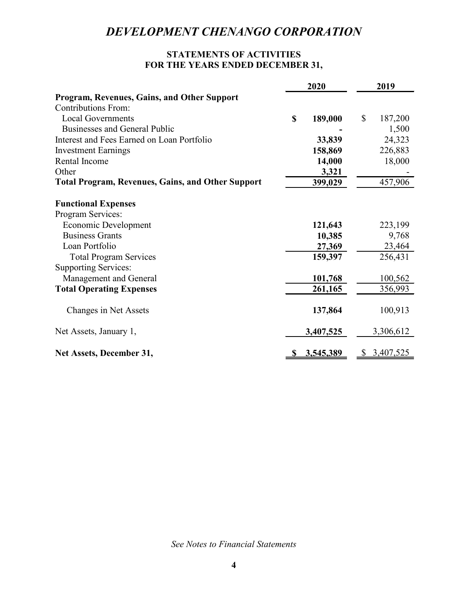# **STATEMENTS OF ACTIVITIES FOR THE YEARS ENDED DECEMBER 31,**

|                                                          |             | 2020      | 2019          |
|----------------------------------------------------------|-------------|-----------|---------------|
| Program, Revenues, Gains, and Other Support              |             |           |               |
| <b>Contributions From:</b>                               |             |           |               |
| <b>Local Governments</b>                                 | $\mathbf S$ | 189,000   | \$<br>187,200 |
| <b>Businesses and General Public</b>                     |             |           | 1,500         |
| Interest and Fees Earned on Loan Portfolio               |             | 33,839    | 24,323        |
| <b>Investment Earnings</b>                               |             | 158,869   | 226,883       |
| Rental Income                                            |             | 14,000    | 18,000        |
| Other                                                    |             | 3,321     |               |
| <b>Total Program, Revenues, Gains, and Other Support</b> |             | 399,029   | 457,906       |
| <b>Functional Expenses</b>                               |             |           |               |
| Program Services:                                        |             |           |               |
| Economic Development                                     |             | 121,643   | 223,199       |
| <b>Business Grants</b>                                   |             | 10,385    | 9,768         |
| Loan Portfolio                                           |             | 27,369    | 23,464        |
| <b>Total Program Services</b>                            |             | 159,397   | 256,431       |
| <b>Supporting Services:</b>                              |             |           |               |
| Management and General                                   |             | 101,768   | 100,562       |
| <b>Total Operating Expenses</b>                          |             | 261,165   | 356,993       |
| Changes in Net Assets                                    |             | 137,864   | 100,913       |
| Net Assets, January 1,                                   |             | 3,407,525 | 3,306,612     |
| Net Assets, December 31,                                 |             | 3,545,389 | 3,407,525     |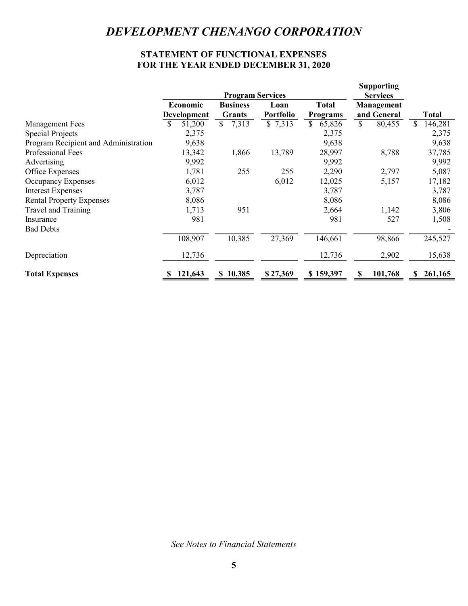# **STATEMENT OF FUNCTIONAL EXPENSES FOR THE YEAR ENDED DECEMBER 31, 2020**

|                                      |              | <b>Program Services</b> |                  |                 | <b>Supporting</b>             |                |
|--------------------------------------|--------------|-------------------------|------------------|-----------------|-------------------------------|----------------|
|                                      | Economic     | <b>Business</b>         | Loan             | <b>Total</b>    | <b>Services</b><br>Management |                |
|                                      | Development  | Grants                  | <b>Portfolio</b> | <b>Programs</b> | and General                   | Total          |
| <b>Management Fees</b>               | 51,200<br>\$ | \$7,313                 | \$7,313          | 65,826<br>S.    | \$<br>80,455                  | \$.<br>146,281 |
| <b>Special Projects</b>              | 2,375        |                         |                  | 2,375           |                               | 2,375          |
| Program Recipient and Administration | 9,638        |                         |                  | 9,638           |                               | 9,638          |
| Professional Fees                    | 13,342       | 1,866                   | 13,789           | 28,997          | 8,788                         | 37,785         |
| Advertising                          | 9,992        |                         |                  | 9,992           |                               | 9,992          |
| Office Expenses                      | 1,781        | 255                     | 255              | 2,290           | 2,797                         | 5,087          |
| Occupancy Expenses                   | 6,012        |                         | 6,012            | 12,025          | 5,157                         | 17,182         |
| <b>Interest Expenses</b>             | 3,787        |                         |                  | 3,787           |                               | 3,787          |
| <b>Rental Property Expenses</b>      | 8,086        |                         |                  | 8,086           |                               | 8,086          |
| Travel and Training                  | 1,713        | 951                     |                  | 2,664           | 1,142                         | 3,806          |
| Insurance                            | 981          |                         |                  | 981             | 527                           | 1,508          |
| <b>Bad Debts</b>                     |              |                         |                  |                 |                               |                |
|                                      | 108,907      | 10,385                  | 27,369           | 146,661         | 98,866                        | 245,527        |
| Depreciation                         | 12,736       |                         |                  | 12,736          | 2,902                         | 15,638         |
| <b>Total Expenses</b>                | 121,643      | \$10,385                | \$27,369         | \$159,397       | 101,768<br>S                  | 261,165        |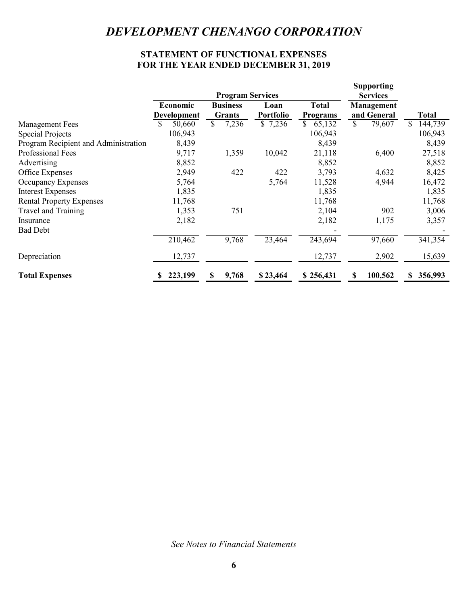# **STATEMENT OF FUNCTIONAL EXPENSES FOR THE YEAR ENDED DECEMBER 31, 2019**

|                                      |                                | <b>Program Services</b>          |                          |                                 | <b>Supporting</b><br><b>Services</b> |               |
|--------------------------------------|--------------------------------|----------------------------------|--------------------------|---------------------------------|--------------------------------------|---------------|
|                                      | Economic<br><b>Development</b> | <b>Business</b><br><b>Grants</b> | Loan<br><b>Portfolio</b> | <b>Total</b><br><b>Programs</b> | <b>Management</b><br>and General     | <b>Total</b>  |
| <b>Management Fees</b>               | 50,660<br>S                    | 7,236<br>S.                      | \$7,236                  | 65,132<br><sup>\$</sup>         | $\mathbb{S}$<br>79,607               | S.<br>144,739 |
| <b>Special Projects</b>              | 106,943                        |                                  |                          | 106,943                         |                                      | 106,943       |
| Program Recipient and Administration | 8,439                          |                                  |                          | 8,439                           |                                      | 8,439         |
| Professional Fees                    | 9,717                          | 1,359                            | 10,042                   | 21,118                          | 6,400                                | 27,518        |
| Advertising                          | 8,852                          |                                  |                          | 8,852                           |                                      | 8,852         |
| Office Expenses                      | 2,949                          | 422                              | 422                      | 3,793                           | 4,632                                | 8,425         |
| Occupancy Expenses                   | 5,764                          |                                  | 5,764                    | 11,528                          | 4,944                                | 16,472        |
| <b>Interest Expenses</b>             | 1,835                          |                                  |                          | 1,835                           |                                      | 1,835         |
| <b>Rental Property Expenses</b>      | 11,768                         |                                  |                          | 11,768                          |                                      | 11,768        |
| Travel and Training                  | 1,353                          | 751                              |                          | 2,104                           | 902                                  | 3,006         |
| Insurance                            | 2,182                          |                                  |                          | 2,182                           | 1,175                                | 3,357         |
| <b>Bad Debt</b>                      |                                |                                  |                          |                                 |                                      |               |
|                                      | 210,462                        | 9,768                            | 23,464                   | 243,694                         | 97,660                               | 341,354       |
| Depreciation                         | 12,737                         |                                  |                          | 12,737                          | 2,902                                | 15,639        |
| <b>Total Expenses</b>                | 223,199                        | 9,768<br>S                       | \$23,464                 | \$256,431                       | 100,562<br>\$                        | 356,993       |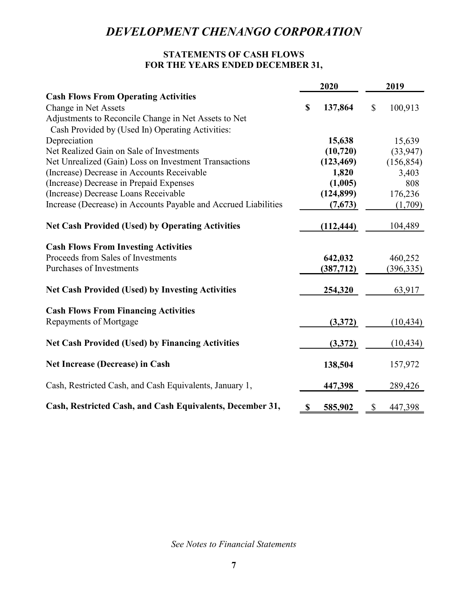# **STATEMENTS OF CASH FLOWS FOR THE YEARS ENDED DECEMBER 31,**

|                                                                 | 2020          |                           | 2019       |
|-----------------------------------------------------------------|---------------|---------------------------|------------|
| <b>Cash Flows From Operating Activities</b>                     |               |                           |            |
| Change in Net Assets                                            | \$<br>137,864 | \$                        | 100,913    |
| Adjustments to Reconcile Change in Net Assets to Net            |               |                           |            |
| Cash Provided by (Used In) Operating Activities:                |               |                           |            |
| Depreciation                                                    | 15,638        |                           | 15,639     |
| Net Realized Gain on Sale of Investments                        | (10, 720)     |                           | (33, 947)  |
| Net Unrealized (Gain) Loss on Investment Transactions           | (123, 469)    |                           | (156, 854) |
| (Increase) Decrease in Accounts Receivable                      | 1,820         |                           | 3,403      |
| (Increase) Decrease in Prepaid Expenses                         | (1,005)       |                           | 808        |
| (Increase) Decrease Loans Receivable                            | (124, 899)    |                           | 176,236    |
| Increase (Decrease) in Accounts Payable and Accrued Liabilities | (7,673)       |                           | (1,709)    |
| <b>Net Cash Provided (Used) by Operating Activities</b>         | (112, 444)    |                           | 104,489    |
| <b>Cash Flows From Investing Activities</b>                     |               |                           |            |
| Proceeds from Sales of Investments                              | 642,032       |                           | 460,252    |
| Purchases of Investments                                        | (387, 712)    |                           | (396, 335) |
| <b>Net Cash Provided (Used) by Investing Activities</b>         | 254,320       |                           | 63,917     |
| <b>Cash Flows From Financing Activities</b>                     |               |                           |            |
| Repayments of Mortgage                                          | (3,372)       |                           | (10, 434)  |
| <b>Net Cash Provided (Used) by Financing Activities</b>         | (3,372)       |                           | (10, 434)  |
| Net Increase (Decrease) in Cash                                 | 138,504       |                           | 157,972    |
| Cash, Restricted Cash, and Cash Equivalents, January 1,         | 447,398       |                           | 289,426    |
| Cash, Restricted Cash, and Cash Equivalents, December 31,       | \$<br>585,902 | $\boldsymbol{\mathsf{S}}$ | 447,398    |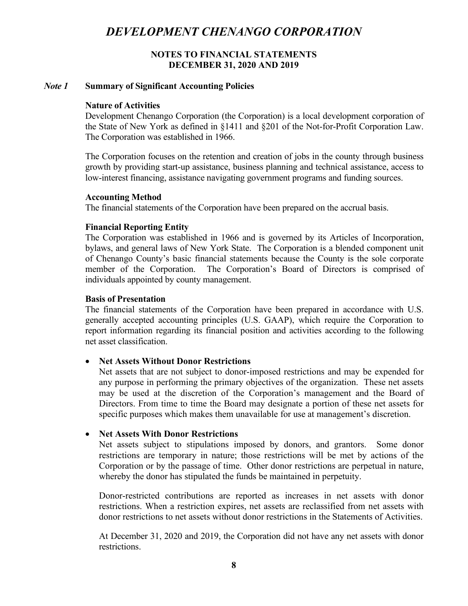#### **NOTES TO FINANCIAL STATEMENTS DECEMBER 31, 2020 AND 2019**

#### *Note 1* **Summary of Significant Accounting Policies**

#### **Nature of Activities**

Development Chenango Corporation (the Corporation) is a local development corporation of the State of New York as defined in §1411 and §201 of the Not-for-Profit Corporation Law. The Corporation was established in 1966.

The Corporation focuses on the retention and creation of jobs in the county through business growth by providing start-up assistance, business planning and technical assistance, access to low-interest financing, assistance navigating government programs and funding sources.

#### **Accounting Method**

The financial statements of the Corporation have been prepared on the accrual basis.

#### **Financial Reporting Entity**

The Corporation was established in 1966 and is governed by its Articles of Incorporation, bylaws, and general laws of New York State. The Corporation is a blended component unit of Chenango County's basic financial statements because the County is the sole corporate member of the Corporation. The Corporation's Board of Directors is comprised of individuals appointed by county management.

#### **Basis of Presentation**

The financial statements of the Corporation have been prepared in accordance with U.S. generally accepted accounting principles (U.S. GAAP), which require the Corporation to report information regarding its financial position and activities according to the following net asset classification.

#### • **Net Assets Without Donor Restrictions**

Net assets that are not subject to donor-imposed restrictions and may be expended for any purpose in performing the primary objectives of the organization. These net assets may be used at the discretion of the Corporation's management and the Board of Directors. From time to time the Board may designate a portion of these net assets for specific purposes which makes them unavailable for use at management's discretion.

#### • **Net Assets With Donor Restrictions**

Net assets subject to stipulations imposed by donors, and grantors. Some donor restrictions are temporary in nature; those restrictions will be met by actions of the Corporation or by the passage of time. Other donor restrictions are perpetual in nature, whereby the donor has stipulated the funds be maintained in perpetuity.

Donor-restricted contributions are reported as increases in net assets with donor restrictions. When a restriction expires, net assets are reclassified from net assets with donor restrictions to net assets without donor restrictions in the Statements of Activities.

At December 31, 2020 and 2019, the Corporation did not have any net assets with donor restrictions.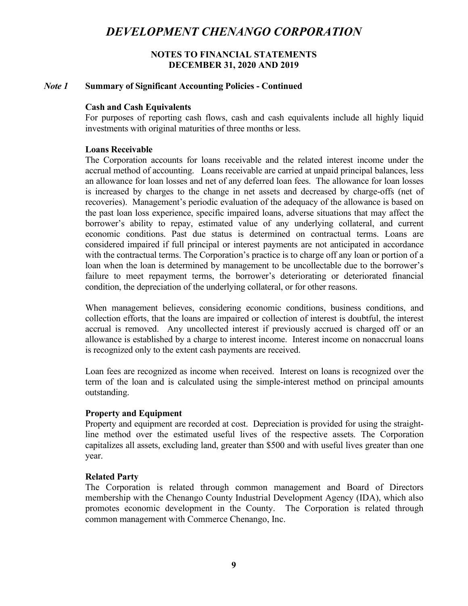#### **NOTES TO FINANCIAL STATEMENTS DECEMBER 31, 2020 AND 2019**

#### *Note 1* **Summary of Significant Accounting Policies - Continued**

#### **Cash and Cash Equivalents**

For purposes of reporting cash flows, cash and cash equivalents include all highly liquid investments with original maturities of three months or less.

#### **Loans Receivable**

The Corporation accounts for loans receivable and the related interest income under the accrual method of accounting. Loans receivable are carried at unpaid principal balances, less an allowance for loan losses and net of any deferred loan fees. The allowance for loan losses is increased by charges to the change in net assets and decreased by charge-offs (net of recoveries). Management's periodic evaluation of the adequacy of the allowance is based on the past loan loss experience, specific impaired loans, adverse situations that may affect the borrower's ability to repay, estimated value of any underlying collateral, and current economic conditions. Past due status is determined on contractual terms. Loans are considered impaired if full principal or interest payments are not anticipated in accordance with the contractual terms. The Corporation's practice is to charge off any loan or portion of a loan when the loan is determined by management to be uncollectable due to the borrower's failure to meet repayment terms, the borrower's deteriorating or deteriorated financial condition, the depreciation of the underlying collateral, or for other reasons.

When management believes, considering economic conditions, business conditions, and collection efforts, that the loans are impaired or collection of interest is doubtful, the interest accrual is removed. Any uncollected interest if previously accrued is charged off or an allowance is established by a charge to interest income. Interest income on nonaccrual loans is recognized only to the extent cash payments are received.

Loan fees are recognized as income when received. Interest on loans is recognized over the term of the loan and is calculated using the simple-interest method on principal amounts outstanding.

#### **Property and Equipment**

Property and equipment are recorded at cost. Depreciation is provided for using the straightline method over the estimated useful lives of the respective assets. The Corporation capitalizes all assets, excluding land, greater than \$500 and with useful lives greater than one year.

#### **Related Party**

The Corporation is related through common management and Board of Directors membership with the Chenango County Industrial Development Agency (IDA), which also promotes economic development in the County. The Corporation is related through common management with Commerce Chenango, Inc.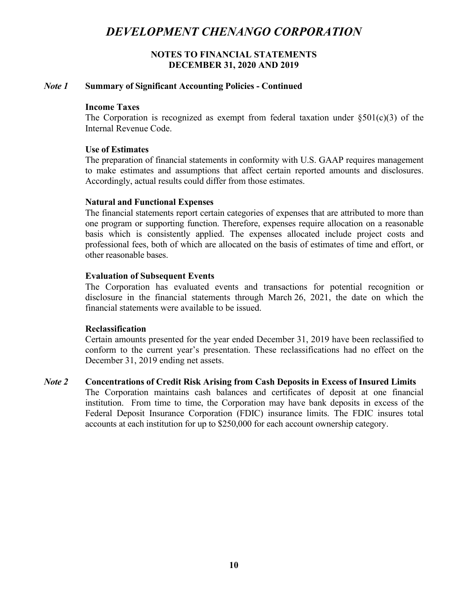### **NOTES TO FINANCIAL STATEMENTS DECEMBER 31, 2020 AND 2019**

#### *Note 1* **Summary of Significant Accounting Policies - Continued**

#### **Income Taxes**

The Corporation is recognized as exempt from federal taxation under  $\S501(c)(3)$  of the Internal Revenue Code.

#### **Use of Estimates**

The preparation of financial statements in conformity with U.S. GAAP requires management to make estimates and assumptions that affect certain reported amounts and disclosures. Accordingly, actual results could differ from those estimates.

#### **Natural and Functional Expenses**

The financial statements report certain categories of expenses that are attributed to more than one program or supporting function. Therefore, expenses require allocation on a reasonable basis which is consistently applied. The expenses allocated include project costs and professional fees, both of which are allocated on the basis of estimates of time and effort, or other reasonable bases.

#### **Evaluation of Subsequent Events**

The Corporation has evaluated events and transactions for potential recognition or disclosure in the financial statements through March 26, 2021, the date on which the financial statements were available to be issued.

#### **Reclassification**

Certain amounts presented for the year ended December 31, 2019 have been reclassified to conform to the current year's presentation. These reclassifications had no effect on the December 31, 2019 ending net assets.

#### *Note 2* **Concentrations of Credit Risk Arising from Cash Deposits in Excess of Insured Limits**

The Corporation maintains cash balances and certificates of deposit at one financial institution. From time to time, the Corporation may have bank deposits in excess of the Federal Deposit Insurance Corporation (FDIC) insurance limits. The FDIC insures total accounts at each institution for up to \$250,000 for each account ownership category.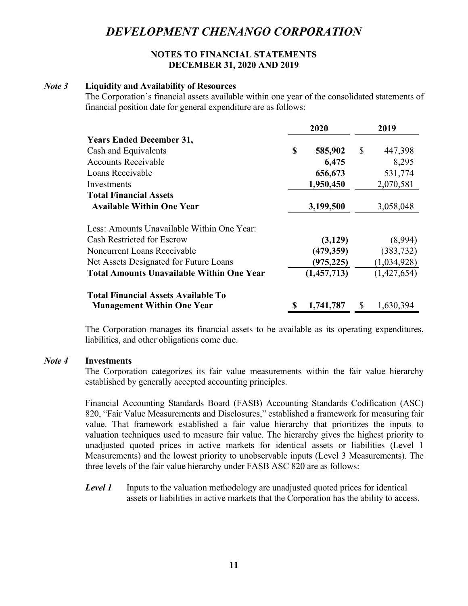### **NOTES TO FINANCIAL STATEMENTS DECEMBER 31, 2020 AND 2019**

# *Note 3* **Liquidity and Availability of Resources**

The Corporation's financial assets available within one year of the consolidated statements of financial position date for general expenditure are as follows:

|                                                  |    | 2020        |    | 2019        |
|--------------------------------------------------|----|-------------|----|-------------|
| <b>Years Ended December 31,</b>                  |    |             |    |             |
| Cash and Equivalents                             | S  | 585,902     | S  | 447,398     |
| <b>Accounts Receivable</b>                       |    | 6,475       |    | 8,295       |
| Loans Receivable                                 |    | 656,673     |    | 531,774     |
| Investments                                      |    | 1,950,450   |    | 2,070,581   |
| <b>Total Financial Assets</b>                    |    |             |    |             |
| <b>Available Within One Year</b>                 |    | 3,199,500   |    | 3,058,048   |
| Less: Amounts Unavailable Within One Year:       |    |             |    |             |
| Cash Restricted for Escrow                       |    | (3,129)     |    | (8,994)     |
| Noncurrent Loans Receivable                      |    | (479, 359)  |    | (383, 732)  |
| Net Assets Designated for Future Loans           |    | (975, 225)  |    | (1,034,928) |
| <b>Total Amounts Unavailable Within One Year</b> |    | (1,457,713) |    | (1,427,654) |
| <b>Total Financial Assets Available To</b>       |    |             |    |             |
| <b>Management Within One Year</b>                | \$ | 1,741,787   | \$ | 1,630,394   |

The Corporation manages its financial assets to be available as its operating expenditures, liabilities, and other obligations come due.

#### *Note 4* **Investments**

The Corporation categorizes its fair value measurements within the fair value hierarchy established by generally accepted accounting principles.

Financial Accounting Standards Board (FASB) Accounting Standards Codification (ASC) 820, "Fair Value Measurements and Disclosures," established a framework for measuring fair value. That framework established a fair value hierarchy that prioritizes the inputs to valuation techniques used to measure fair value. The hierarchy gives the highest priority to unadjusted quoted prices in active markets for identical assets or liabilities (Level 1 Measurements) and the lowest priority to unobservable inputs (Level 3 Measurements). The three levels of the fair value hierarchy under FASB ASC 820 are as follows:

**Level 1** Inputs to the valuation methodology are unadjusted quoted prices for identical assets or liabilities in active markets that the Corporation has the ability to access.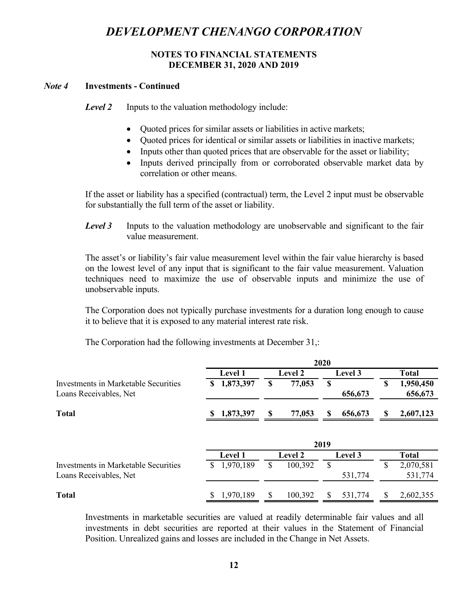### **NOTES TO FINANCIAL STATEMENTS DECEMBER 31, 2020 AND 2019**

### *Note 4* **Investments - Continued**

**Level 2** Inputs to the valuation methodology include:

- Quoted prices for similar assets or liabilities in active markets;
- Quoted prices for identical or similar assets or liabilities in inactive markets;
- Inputs other than quoted prices that are observable for the asset or liability;
- Inputs derived principally from or corroborated observable market data by correlation or other means.

If the asset or liability has a specified (contractual) term, the Level 2 input must be observable for substantially the full term of the asset or liability.

**Level 3** Inputs to the valuation methodology are unobservable and significant to the fair value measurement.

The asset's or liability's fair value measurement level within the fair value hierarchy is based on the lowest level of any input that is significant to the fair value measurement. Valuation techniques need to maximize the use of observable inputs and minimize the use of unobservable inputs.

The Corporation does not typically purchase investments for a duration long enough to cause it to believe that it is exposed to any material interest rate risk.

|  |  | The Corporation had the following investments at December 31,: |
|--|--|----------------------------------------------------------------|
|  |  |                                                                |

|                                      |                |               | 2020          |                                        |
|--------------------------------------|----------------|---------------|---------------|----------------------------------------|
|                                      | <b>Level 1</b> | Level 2       | Level 3       | <b>Total</b>                           |
| Investments in Marketable Securities | 1,873,397<br>S | \$<br>77,053  | \$            | \$<br>1,950,450                        |
| Loans Receivables, Net               |                |               | 656,673       | 656,673                                |
| <b>Total</b>                         | 1,873,397<br>S | S<br>77,053   | \$<br>656,673 | 2,607,123<br>$\boldsymbol{\mathsf{S}}$ |
|                                      |                |               |               |                                        |
|                                      |                |               | 2019          |                                        |
|                                      | <b>Level 1</b> | Level 2       | Level 3       | <b>Total</b>                           |
| Investments in Marketable Securities | 1,970,189<br>S | \$<br>100,392 | $\mathbb{S}$  | \$<br>2,070,581                        |
| Loans Receivables, Net               |                |               | 531,774       | 531,774                                |
|                                      |                |               |               |                                        |

Investments in marketable securities are valued at readily determinable fair values and all investments in debt securities are reported at their values in the Statement of Financial Position. Unrealized gains and losses are included in the Change in Net Assets.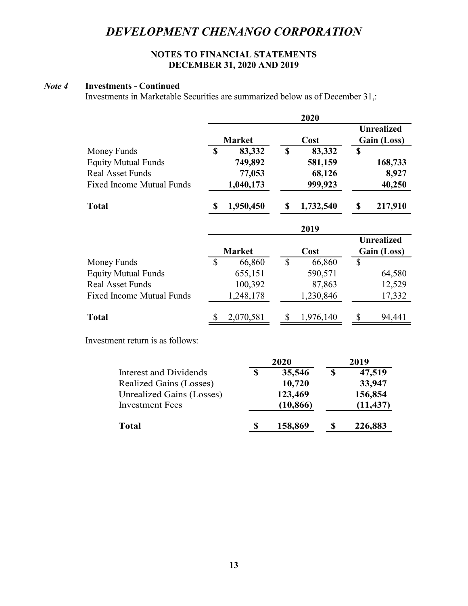# **NOTES TO FINANCIAL STATEMENTS DECEMBER 31, 2020 AND 2019**

# *Note 4* **Investments - Continued**

Investments in Marketable Securities are summarized below as of December 31,:

|                                           |               |                   |                           | 2020                  |                           |                   |
|-------------------------------------------|---------------|-------------------|---------------------------|-----------------------|---------------------------|-------------------|
|                                           |               |                   |                           |                       |                           | <b>Unrealized</b> |
|                                           | $\mathbf S$   | <b>Market</b>     | $\mathbf S$               | Cost<br>83,332        | \$                        | Gain (Loss)       |
| Money Funds<br><b>Equity Mutual Funds</b> |               | 83,332<br>749,892 |                           | 581,159               |                           | 168,733           |
| <b>Real Asset Funds</b>                   |               | 77,053            |                           | 68,126                |                           | 8,927             |
| <b>Fixed Income Mutual Funds</b>          |               | 1,040,173         |                           | 999,923               |                           | 40,250            |
|                                           |               |                   |                           |                       |                           |                   |
| <b>Total</b>                              | \$            | 1,950,450         | $\boldsymbol{\mathsf{S}}$ | 1,732,540             | $\boldsymbol{\mathsf{S}}$ | 217,910           |
|                                           |               |                   |                           | 2019                  |                           |                   |
|                                           |               |                   |                           |                       |                           | <b>Unrealized</b> |
|                                           |               | <b>Market</b>     |                           | Cost                  |                           | Gain (Loss)       |
| Money Funds                               | $\mathcal{S}$ | 66,860            | $\mathcal{S}$             | 66,860                | $\mathbb{S}$              |                   |
| <b>Equity Mutual Funds</b>                |               | 655,151           |                           | 590,571               |                           | 64,580            |
| <b>Real Asset Funds</b>                   |               | 100,392           |                           | 87,863                |                           | 12,529            |
| <b>Fixed Income Mutual Funds</b>          |               | 1,248,178         |                           | 1,230,846             |                           | 17,332            |
| <b>Total</b>                              | \$            | 2,070,581         | $\mathcal{S}$             | 1,976,140             | $\boldsymbol{\mathsf{S}}$ | 94,441            |
| Investment return is as follows:          |               |                   |                           |                       |                           |                   |
|                                           |               |                   | 2020                      |                       | 2019                      |                   |
| <b>Interest and Dividends</b>             |               | $\mathbf S$       |                           | $\mathbf S$<br>35,546 |                           | 47,519            |
| Realized Gains (Losses)                   |               |                   |                           | 10,720                |                           | 33,947            |
| Unrealized Gains (Losses)                 |               |                   | 123,469                   |                       |                           | 156,854           |
| <b>Investment Fees</b>                    |               |                   |                           | (10, 866)             |                           | (11, 437)         |
| <b>Total</b>                              |               | \$                | 158,869                   | \$                    |                           | 226,883           |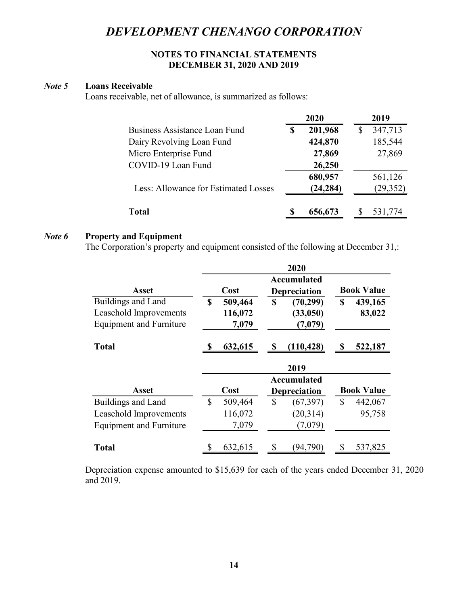### **NOTES TO FINANCIAL STATEMENTS DECEMBER 31, 2020 AND 2019**

### *Note 5* **Loans Receivable**

Loans receivable, net of allowance, is summarized as follows:

|                                      |   | 2020      | 2019      |
|--------------------------------------|---|-----------|-----------|
| Business Assistance Loan Fund        | S | 201,968   | 347,713   |
| Dairy Revolving Loan Fund            |   | 424,870   | 185,544   |
| Micro Enterprise Fund                |   | 27,869    | 27,869    |
| COVID-19 Loan Fund                   |   | 26,250    |           |
|                                      |   | 680,957   | 561,126   |
| Less: Allowance for Estimated Losses |   | (24, 284) | (29, 352) |
| Total                                |   | 656,673   | 531,774   |

### *Note 6* **Property and Equipment**

The Corporation's property and equipment consisted of the following at December 31,:

|                                |               |               | 2020                               |    |                   |
|--------------------------------|---------------|---------------|------------------------------------|----|-------------------|
| <b>Asset</b>                   | Cost          |               | Accumulated<br><b>Depreciation</b> |    | <b>Book Value</b> |
| Buildings and Land             | \$<br>509,464 | S             | (70, 299)                          | \$ | 439,165           |
| Leasehold Improvements         | 116,072       |               | (33,050)                           |    | 83,022            |
| <b>Equipment and Furniture</b> | 7,079         |               | (7,079)                            |    |                   |
| <b>Total</b>                   | 632,615       | S             | (110, 428)                         | S  | 522,187           |
|                                |               |               |                                    |    |                   |
|                                |               |               | 2019                               |    |                   |
|                                |               |               | Accumulated                        |    |                   |
| <b>Asset</b>                   | Cost          |               | <b>Depreciation</b>                |    | <b>Book Value</b> |
| Buildings and Land             | \$<br>509,464 | $\mathcal{S}$ | (67, 397)                          | \$ | 442,067           |
| Leasehold Improvements         | 116,072       |               | (20,314)                           |    | 95,758            |
| <b>Equipment and Furniture</b> | 7,079         |               | (7,079)                            |    |                   |

Depreciation expense amounted to \$15,639 for each of the years ended December 31, 2020 and 2019.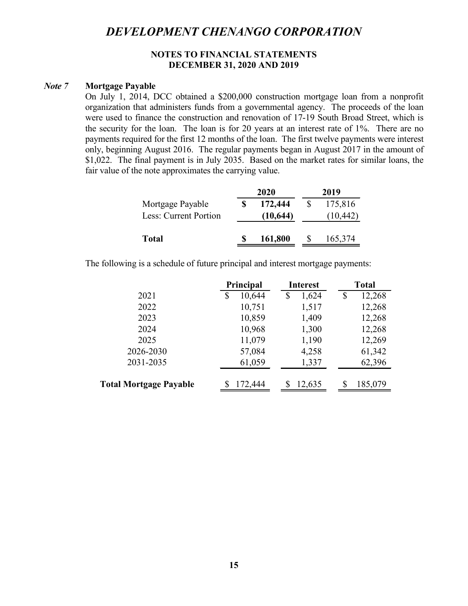### **NOTES TO FINANCIAL STATEMENTS DECEMBER 31, 2020 AND 2019**

#### *Note 7* **Mortgage Payable**

On July 1, 2014, DCC obtained a \$200,000 construction mortgage loan from a nonprofit organization that administers funds from a governmental agency. The proceeds of the loan were used to finance the construction and renovation of 17-19 South Broad Street, which is the security for the loan. The loan is for 20 years at an interest rate of 1%. There are no payments required for the first 12 months of the loan. The first twelve payments were interest only, beginning August 2016. The regular payments began in August 2017 in the amount of \$1,022. The final payment is in July 2035. Based on the market rates for similar loans, the fair value of the note approximates the carrying value.

|                       | 2020 |           | 2019 |           |
|-----------------------|------|-----------|------|-----------|
| Mortgage Payable      |      | 172,444   |      | 175,816   |
| Less: Current Portion |      | (10, 644) |      | (10, 442) |
| <b>Total</b>          |      | 161,800   |      | 165,374   |

The following is a schedule of future principal and interest mortgage payments:

|                               | Principal    | <b>Interest</b> | <b>Total</b> |
|-------------------------------|--------------|-----------------|--------------|
| 2021                          | 10,644<br>\$ | 1,624<br>\$     | 12,268<br>S  |
| 2022                          | 10,751       | 1,517           | 12,268       |
| 2023                          | 10,859       | 1,409           | 12,268       |
| 2024                          | 10,968       | 1,300           | 12,268       |
| 2025                          | 11,079       | 1,190           | 12,269       |
| 2026-2030                     | 57,084       | 4,258           | 61,342       |
| 2031-2035                     | 61,059       | 1,337           | 62,396       |
| <b>Total Mortgage Payable</b> | S<br>172,444 | 12,635          | 185,079      |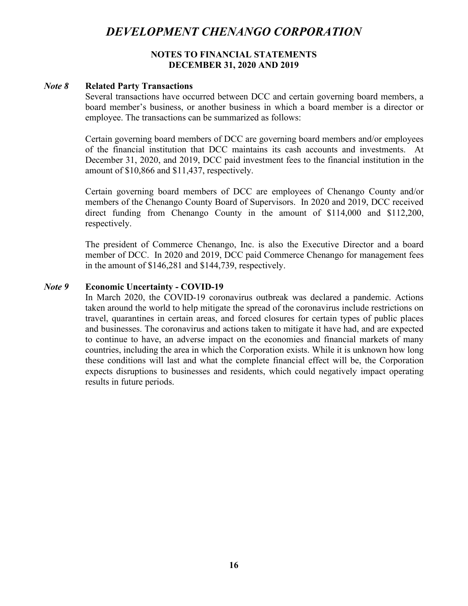### **NOTES TO FINANCIAL STATEMENTS DECEMBER 31, 2020 AND 2019**

#### *Note 8* **Related Party Transactions**

Several transactions have occurred between DCC and certain governing board members, a board member's business, or another business in which a board member is a director or employee. The transactions can be summarized as follows:

Certain governing board members of DCC are governing board members and/or employees of the financial institution that DCC maintains its cash accounts and investments. At December 31, 2020, and 2019, DCC paid investment fees to the financial institution in the amount of \$10,866 and \$11,437, respectively.

Certain governing board members of DCC are employees of Chenango County and/or members of the Chenango County Board of Supervisors. In 2020 and 2019, DCC received direct funding from Chenango County in the amount of \$114,000 and \$112,200, respectively.

The president of Commerce Chenango, Inc. is also the Executive Director and a board member of DCC. In 2020 and 2019, DCC paid Commerce Chenango for management fees in the amount of \$146,281 and \$144,739, respectively.

#### *Note 9* **Economic Uncertainty - COVID-19**

In March 2020, the COVID-19 coronavirus outbreak was declared a pandemic. Actions taken around the world to help mitigate the spread of the coronavirus include restrictions on travel, quarantines in certain areas, and forced closures for certain types of public places and businesses. The coronavirus and actions taken to mitigate it have had, and are expected to continue to have, an adverse impact on the economies and financial markets of many countries, including the area in which the Corporation exists. While it is unknown how long these conditions will last and what the complete financial effect will be, the Corporation expects disruptions to businesses and residents, which could negatively impact operating results in future periods.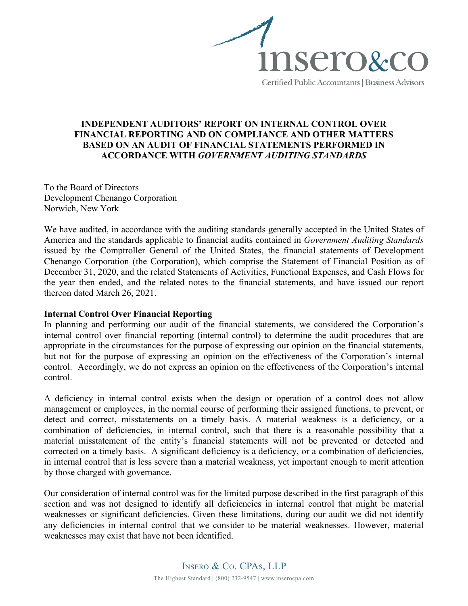

# **INDEPENDENT AUDITORS' REPORT ON INTERNAL CONTROL OVER FINANCIAL REPORTING AND ON COMPLIANCE AND OTHER MATTERS BASED ON AN AUDIT OF FINANCIAL STATEMENTS PERFORMED IN ACCORDANCE WITH** *GOVERNMENT AUDITING STANDARDS*

To the Board of Directors Development Chenango Corporation Norwich, New York

We have audited, in accordance with the auditing standards generally accepted in the United States of America and the standards applicable to financial audits contained in *Government Auditing Standards*  issued by the Comptroller General of the United States, the financial statements of Development Chenango Corporation (the Corporation), which comprise the Statement of Financial Position as of December 31, 2020, and the related Statements of Activities, Functional Expenses, and Cash Flows for the year then ended, and the related notes to the financial statements, and have issued our report thereon dated March 26, 2021.

### **Internal Control Over Financial Reporting**

In planning and performing our audit of the financial statements, we considered the Corporation's internal control over financial reporting (internal control) to determine the audit procedures that are appropriate in the circumstances for the purpose of expressing our opinion on the financial statements, but not for the purpose of expressing an opinion on the effectiveness of the Corporation's internal control. Accordingly, we do not express an opinion on the effectiveness of the Corporation's internal control.

A deficiency in internal control exists when the design or operation of a control does not allow management or employees, in the normal course of performing their assigned functions, to prevent, or detect and correct, misstatements on a timely basis. A material weakness is a deficiency, or a combination of deficiencies, in internal control, such that there is a reasonable possibility that a material misstatement of the entity's financial statements will not be prevented or detected and corrected on a timely basis. A significant deficiency is a deficiency, or a combination of deficiencies, in internal control that is less severe than a material weakness, yet important enough to merit attention by those charged with governance.

Our consideration of internal control was for the limited purpose described in the first paragraph of this section and was not designed to identify all deficiencies in internal control that might be material weaknesses or significant deficiencies. Given these limitations, during our audit we did not identify any deficiencies in internal control that we consider to be material weaknesses. However, material weaknesses may exist that have not been identified.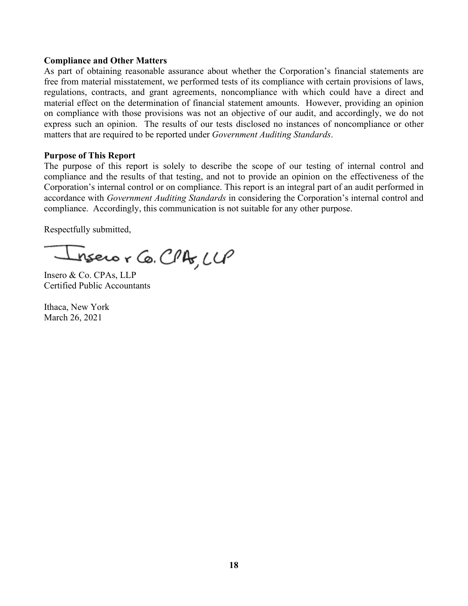### **Compliance and Other Matters**

As part of obtaining reasonable assurance about whether the Corporation's financial statements are free from material misstatement, we performed tests of its compliance with certain provisions of laws, regulations, contracts, and grant agreements, noncompliance with which could have a direct and material effect on the determination of financial statement amounts. However, providing an opinion on compliance with those provisions was not an objective of our audit, and accordingly, we do not express such an opinion. The results of our tests disclosed no instances of noncompliance or other matters that are required to be reported under *Government Auditing Standards*.

#### **Purpose of This Report**

The purpose of this report is solely to describe the scope of our testing of internal control and compliance and the results of that testing, and not to provide an opinion on the effectiveness of the Corporation's internal control or on compliance. This report is an integral part of an audit performed in accordance with *Government Auditing Standards* in considering the Corporation's internal control and compliance. Accordingly, this communication is not suitable for any other purpose.

Respectfully submitted,

nsero r Co. CPA, LLP

Insero & Co. CPAs, LLP Certified Public Accountants

Ithaca, New York March 26, 2021